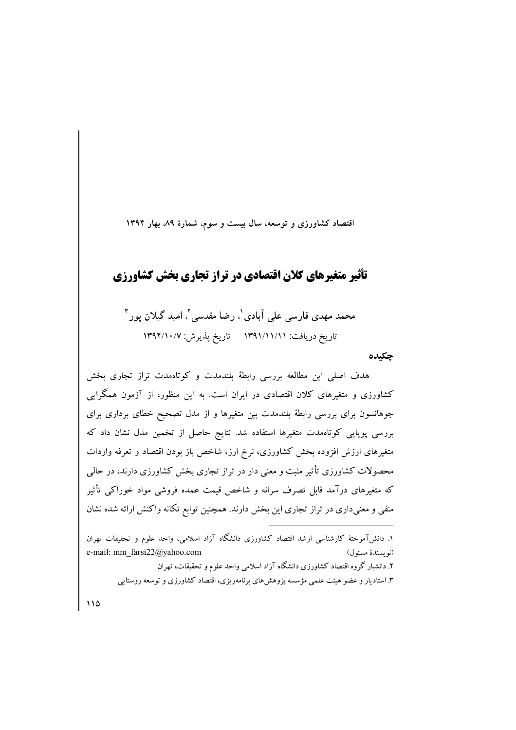اقتصاد کشاورزی و توسعه، سال بیست و سوم، شمارهٔ ۸۹، بهار ۱۳۹۴

### تأثیر متغیرهای کلان اقتصادی در تراز تجاری بخش کشاورزی

محمد مهدی فارسی علی آبادی ٰ، رضا مقدسی ٰٰ، امید گیلان پور ؑ تاريخ دريافت: ١٣٩١/١١/١/١ تاريخ يذيرش: ١٣٩٢/١٠/٧

چکىدە

هدف اصلی این مطالعه بررسی رابطهٔ بلندمدت و کوتاهمدت تراز تجاری بخش کشاورزی و متغیرهای کلان اقتصادی در ایران است. به این منظور، از آزمون همگرایی جوهانسون برای بررسی رابطهٔ بلندمدت بین متغیرها و از مدل تصحیح خطای برداری برای بررسی پویایی کوتاهمدت متغیرها استفاده شد. نتایج حاصل از تخمین مدل نشان داد که متغیرهای ارزش افزوده بخش کشاورزی، نرخ ارز، شاخص باز بودن اقتصاد و تعرفه واردات محصولات کشاورزی تأثیر مثبت و معنی دار در تراز تجاری بخش کشاورزی دارند، در حالی که متغیرهای درآمد قابل تصرف سرانه و شاخص قیمت عمده فروشی مواد خوراکی تأثیر منفی و معنیداری در تراز تجاری این بخش دارند. همچنین توابع تکانه واکنش ارائه شده نشان

١. دانش آموختهٔ کارشناسی ارشد اقتصاد کشاورزی دانشگاه آزاد اسلامی، واحد علوم و تحقیقات تهران e-mail: mm\_farsi22@yahoo.com (نو ىسندة مسئول) ۲. دانشبار گروه اقتصاد کشاورزی دانشگاه آزاد اسلامی واحد علوم و تحقیقات، تهران ۳. استادیار و عضو هیئت علمی مؤسسه پژوهشهای برنامهریزی، اقتصاد کشاورزی و توسعه روستایی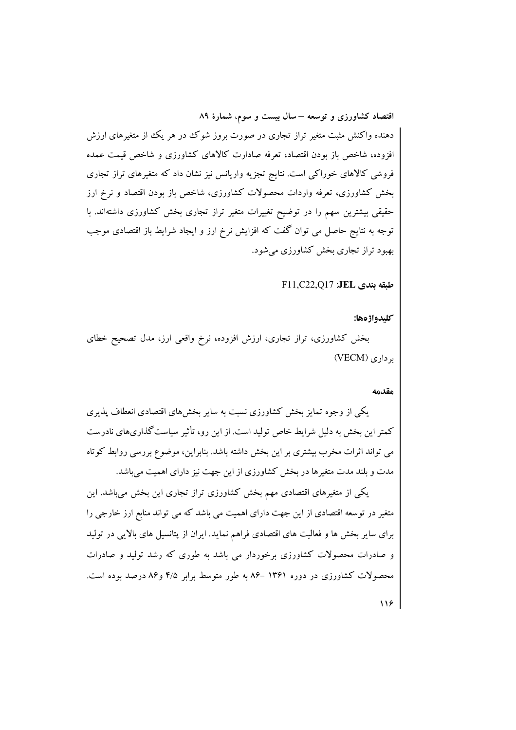دهنده واکنش مثبت متغیر تراز تجاری در صورت بروز شوک در هر یک از متغیرهای ارزش افزوده، شاخص باز بودن اقتصاد، تعرفه صادارت كالاهاى كشاورزى و شاخص قيمت عمده فروشی کالاهای خوراکی است. نتایج تجزیه واریانس نیز نشان داد که متغیرهای تراز تجاری بخش کشاورزی، تعرفه واردات محصولات کشاورزی، شاخص باز بودن اقتصاد و نرخ ارز حقیقی بیشترین سهم را در توضیح تغییرات متغیر تراز تجاری بخش کشاورزی داشتهاند. با توجه به نتایج حاصل می توان گفت که افزایش نرخ ارز و ایجاد شرایط باز اقتصادی موجب بهبود تراز تجاری بخش کشاورزی می شود.

طبقه بندي JEL: F11.C22.O17

كليدواژهها:

بخش کشاورزی، تراز تجاری، ارزش افزوده، نرخ واقعی ارز، مدل تصحیح خطای برداري (VECM)

#### مقدمه

یکمی از وجوه تمایز بخش کشاورزی نسبت به سایر بخش های اقتصادی انعطاف پذیری کمتر این بخش به دلیل شرایط خاص تولید است. از این رو، تأثیر سیاست گذاریهای نادرست می تواند اثرات مخرب بیشتری بر این بخش داشته باشد. بنابراین، موضوع بررسی روابط کوتاه مدت و بلند مدت متغیرها در بخش کشاورزی از این جهت نیز دارای اهمیت میباشد.

یکی از متغیرهای اقتصادی مهم بخش کشاورزی تراز تجاری این بخش میباشد. این متغیر در توسعه اقتصادی از این جهت دارای اهمیت می باشد که می تواند منابع ارز خارجی را برای سایر بخش ها و فعالیت های اقتصادی فراهم نماید. ایران از پتانسیل های بالایی در تولید و صادرات محصولات کشاورزی برخوردار می باشد به طوری که رشد تولید و صادرات محصولات کشاورزی در دوره ۱۳۶۱ –۸۶ به طور متوسط برابر ۴/۵ و۸۶ درصد بوده است.  $119$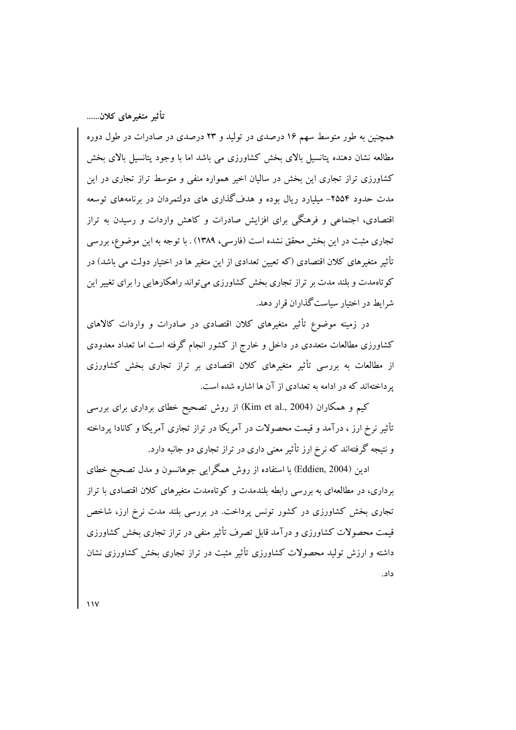همچنین به طور متوسط سهم ۱۶ درصدی در تولید و ۲۳ درصدی در صادرات در طول دوره مطالعه نشان دهنده پتانسیل بالای بخش کشاورزی می باشد اما با وجود پتانسیل بالای بخش کشاورزی تراز تجاری این بخش در سالیان اخیر همواره منفی و متوسط تراز تجاری در این مدت حدود ۲۵۵۴- میلیارد ریال بوده و هدف گذاری های دولتمردان در برنامههای توسعه اقتصادی، اجتماعی و فرهنگی برای افزایش صادرات و کاهش واردات و رسیدن به تراز تجاری مثبت در این بخش محقق نشده است (فارسی، ۱۳۸۹) . با توجه به این موضوع، بررسی تأثیر متغیرهای کلان اقتصادی (که تعیین تعدادی از این متغیر ها در اختیار دولت می باشد) در کوتاهمدت و بلند مدت بر تراز تجاری بخش کشاورزی میتواند راهکارهایی را برای تغییر این شرایط در اختیار سیاست گذاران قرار دهد.

در زمینه موضوع تأثیر متغیرهای کلان اقتصادی در صادرات و واردات کالاهای کشاورزی مطالعات متعددی در داخل و خارج از کشور انجام گرفته است اما تعداد معدودی از مطالعات به بررسی تأثیر متغیرهای کلان اقتصادی بر تراز تجاری بخش کشاورزی یر داختهاند که در ادامه به تعدادی از آن ها اشاره شده است.

کیم و همکاران (Kim et al., 2004) از روش تصحیح خطای برداری برای بررسی تأثیر نرخ ارز ، درآمد و قیمت محصولات در آمریکا در تراز تجاری آمریکا و کانادا پرداخته و نتیجه گرفتهاند که نرخ ارز تأثیر معنی داری در تراز تجاری دو جانبه دارد.

ادین (Eddien, 2004) با استفاده از روش همگرایی جوهانسون و مدل تصحیح خطای برداری، در مطالعهای به بررسی رابطه بلندمدت و کوتاهمدت متغیرهای کلان اقتصادی با تراز تجاری بخش کشاورزی در کشور تونس پرداخت. در بررسی بلند مدت نرخ ارز، شاخص قیمت محصولات کشاورزی و درآمد قابل تصرف تأثیر منفی در تراز تجاری بخش کشاورزی داشته و ارزش تولید محصولات کشاورزی تأثیر مثبت در تراز تجاری بخش کشاورزی نشان داد.

 $\mathcal{N}$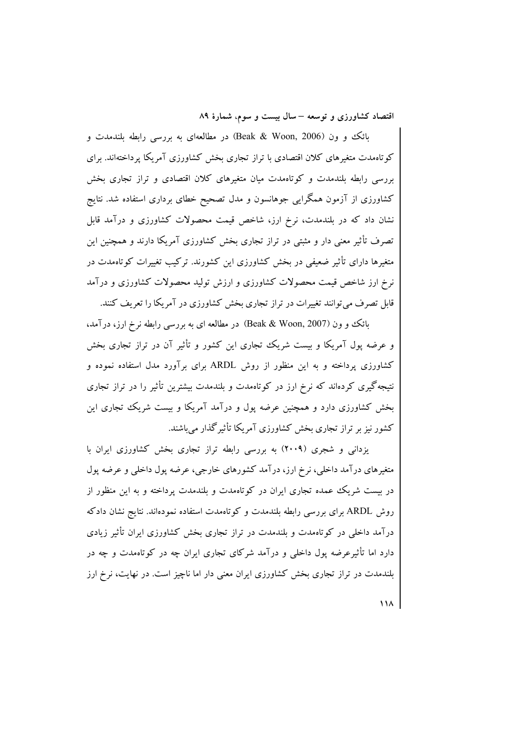بائک و ون (Beak & Woon, 2006) در مطالعهای به بررسی رابطه بلندمدت و کوتاهمدت متغیرهای کلان اقتصادی با تراز تجاری بخش کشاورزی آمریکا پرداختهاند. برای بررسی رابطه بلندمدت و کوتاهمدت میان متغیرهای کلان اقتصادی و تراز تجاری بخش کشاورزی از آزمون همگرایی جوهانسون و مدل تصحیح خطای برداری استفاده شد. نتایج نشان داد که در بلندمدت، نرخ ارز، شاخص قیمت محصولات کشاورزی و درآمد قابل تصرف تأثیر معنی دار و مثبتی در تراز تجاری بخش کشاورزی آمریکا دارند و همچنین این متغیرها دارای تأثیر ضعیفی در بخش کشاورزی این کشورند. ترکیب تغییرات کوتاهمدت در نرخ ارز شاخص قیمت محصولات کشاورزی و ارزش تولید محصولات کشاورزی و درآمد قابل تصرف می توانند تغییرات در تراز تجاری بخش کشاورزی در آمریکا را تعریف کنند.

بائک و ون (Beak & Woon, 2007) در مطالعه ای به بررسی رابطه نرخ ارز، درآمد، و عرضه پول آمریکا و بیست شریک تجاری این کشور و تأثیر آن در تراز تجاری بخش کشاورزی پرداخته و به این منظور از روش ARDL برای برآورد مدل استفاده نموده و نتیجه گیری کردهاند که نرخ ارز در کوتاهمدت و بلندمدت بیشترین تأثیر را در تراز تجاری بخش کشاورزی دارد و همچنین عرضه پول و درآمد آمریکا و بیست شریک تجاری این کشور نیز بر تراز تجاری بخش کشاورزی آمریکا تأثیرگذار می باشند.

یزدانی و شجری (۲۰۰۹) به بررسی رابطه تراز تجاری بخش کشاورزی ایران با متغیرهای درآمد داخلی، نرخ ارز، درآمد کشورهای خارجی، عرضه پول داخلی و عرضه پول در بیست شریک عمده تجاری ایران در کوتاهمدت و بلندمدت پرداخته و به این منظور از روش ARDL برای بررسی رابطه بلندمدت و کوتاهمدت استفاده نمودهاند. نتایج نشان دادکه درآمد داخلی در کوتاهمدت و بلندمدت در تراز تجاری بخش کشاورزی ایران تأثیر زیادی دارد اما تأثیرعرضه پول داخلی و درآمد شرکای تجاری ایران چه در کوتاهمدت و چه در بلندمدت در تراز تجاری بخش کشاورزی ایران معنی دار اما ناچیز است. در نهایت، نرخ ارز

 $\overline{M}$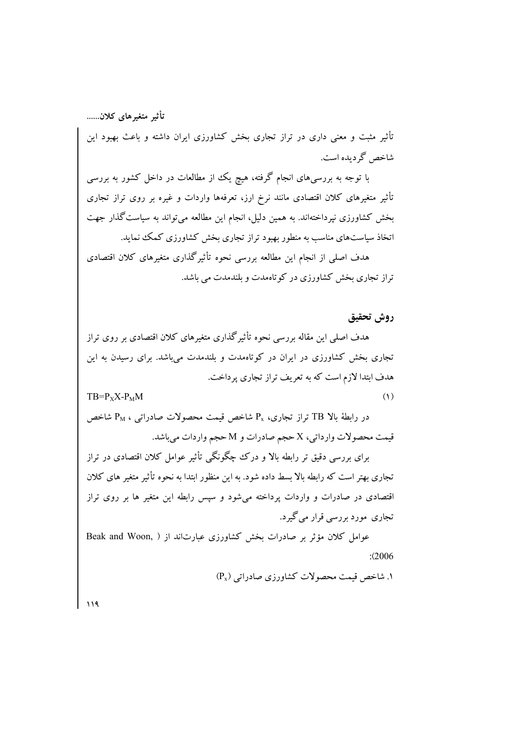تأثیر مثبت و معنی داری در تراز تجاری بخش کشاورزی ایران داشته و باعث بهبود این شاخص گردېده است.

با توجه به بررسیهای انجام گرفته، هیچ یک از مطالعات در داخل کشور به بررسی تأثیر متغیرهای کلان اقتصادی مانند نرخ ارز، تعرفهها واردات و غیره بر روی تراز تجاری بخش کشاورزی نیرداختهاند. به همین دلیل، انجام این مطالعه میتواند به سیاست گذار جهت اتخاذ سیاستهای مناسب به منطور بهبود تراز تجاری بخش کشاورزی کمک نماید.

هدف اصلی از انجام این مطالعه بررسی نحوه تأثیرگذاری متغیرهای کلان اقتصادی تراز تجاری بخش کشاورزی در کو تاهمدت و بلندمدت می باشد.

روش تحقيق

هدف اصلی این مقاله بررسی نحوه تأثیرگذاری متغیرهای کلان اقتصادی بر روی تراز تجاری بخش کشاورزی در ایران در کوتاهمدت و بلندمدت میباشد. برای رسیدن به این هدف ابتدا لازم است که به تعریف تراز تجاری پرداخت.  $(1)$ 

 $TB = P_X X - P_M M$ 

در رابطهٔ بالا TB تراز تجاری، Px شاخص قیمت محصولات صادراتی ، P<sub>M</sub> شاخص قيمت محصولات وارداتي، X حجم صادرات و M حجم واردات مي باشد.

برای بررسی دقیق تر رابطه بالا و درک چگونگی تأثیر عوامل کلان اقتصادی در تراز تجاری بهتر است که رابطه بالا بسط داده شود. به این منظور ابتدا به نحوه تأثیر متغیر های کلان اقتصادی در صادرات و واردات پرداخته میشود و سپس رابطه این متغیر ها بر روی تراز تجاري مورد بررسي قرار مي گيرد.

عوامل كلان مؤثر بر صادرات بخش كشاورزي عبارتاند از ( ,Beak and Woon  $: (2006)$ 

(. شاخص قیمت محصولات کشاورزی صادراتی (P<sub>x</sub>)

 $119$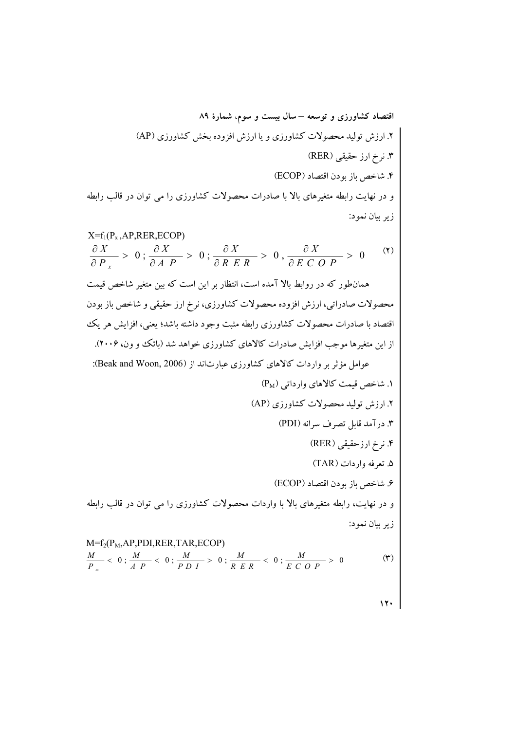**- -** ^(.[.04,-L-"0" .04N6D1' 0"9 ^))[#Y1YJ0"K@9 ^1.[637"50MBF9r %!"i'75" #".04N6D")N.+123%!"X@ =@510 /-2.0(.))1.3 ^[ 4 4 - - - - - - - =17MBF123(1%\$"(":3@";\$">Nh"%m5=+ 50MBF#Y1YJ0"K@;.04N6DL-"0";# ")N6D c+,"L-" ;#& |F%3F"AOP%!".04N6D")637" 9^n;5cW[F+"B.04.+N"),"L-"iA+123("0" ^#-\$"!&"
'[0"@"OS.04.+N""QaI"S ^.[# "".+N=17MBF9 ^(.[.04N6D1' 0"9 ^.\*5[%@"\$ \*6 I7>9 ^))[#Y1YJ0"K@9r ^,()[""%-& 9q ^1.[637"50MBF9n %!"i'75" #".04N6D""N.+123%!" ;X@

 $\ddot{\cdot}$ زير بيان نمود:

M=f<sub>2</sub>(P<sub>M</sub>,AP,PDI,RER, TAR,ECOP)  
\n
$$
\frac{M}{P_m} < 0; \frac{M}{A P} < 0; \frac{M}{P D I} > 0; \frac{M}{R E R} < 0; \frac{M}{E C O P} > 0
$$
 (7)

 $\mathbf{y}$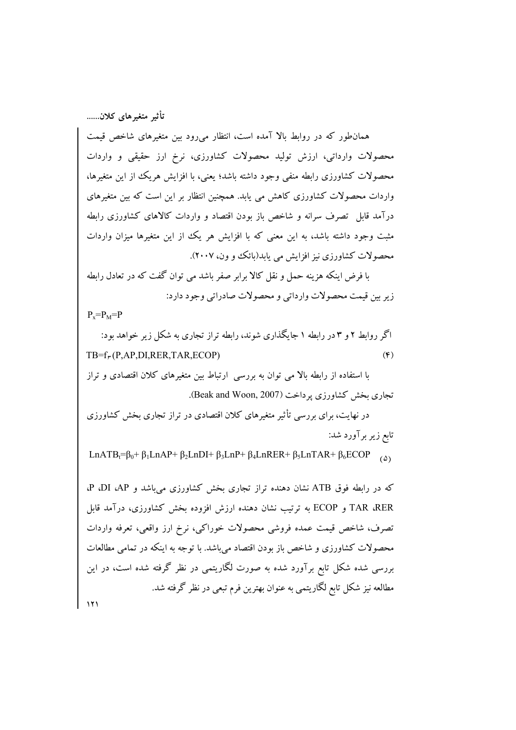همانطور که در روابط بالا آمده است، انتظار میرود بین متغیرهای شاخص قیمت محصولات وارداتی، ارزش تولید محصولات کشاورزی، نرخ ارز حقیقی و واردات محصولات کشاورزی رابطه منفی وجود داشته باشد؛ یعنی، با افزایش هریک از این متغیرها، واردات محصولات کشاورزی کاهش می یابد. همچنین انتظار بر این است که بین متغیرهای درآمد قابل ً تصرف سرانه و شاخص باز بودن اقتصاد و واردات کالاهای کشاورزی رابطه مثبت وجود داشته باشد، به این معنی که با افزایش هر یک از این متغیرها میزان واردات محصولات کشاورزی نیز افزایش می یابد(بائک و ون، ۲۰۰۷).

با فرض اینکه هزینه حمل و نقل کالا برابر صفر باشد می توان گفت که در تعادل رابطه زير بين قيمت محصولات وارداتي و محصولات صادراتي وجود دارد:

 $P_x = P_M = P$ 

اگر روابط ۲ و ۳ در رابطه ۱ جایگذاری شوند، رابطه تراز تجاری به شکل زیر خواهد بود:  $TB=f_r(P, AP, DI, RER, TAR, ECOP)$  $(F)$ 

با استفاده از رابطه بالا می توان به بررسی ارتباط بین متغیرهای کلان اقتصادی و تراز تجاری بخش کشاورزی پرداخت (Beak and Woon, 2007).

در نهایت، برای بررسی تأثیر متغیرهای کلان اقتصادی در تراز تجاری بخش کشاورزی تابع زیر برآورد شد:

LnATB<sub>t</sub>= $\beta_0$ +  $\beta_1$ LnAP+  $\beta_2$ LnDI+  $\beta_3$ LnP+  $\beta_4$ LnRER+  $\beta_5$ LnTAR+  $\beta_6$ ECOP

که در رابطه فوق ATB نشان دهنده تراز تجاری بخش کشاورزی می باشد و P ،DI ،AP. TAR ،RER و ECOP به ترتیب نشان دهنده ارزش افزوده بخش کشاورزی، درآمد قابل تصرف، شاخص قيمت عمده فروشي محصولات خوراكي، نرخ ارز واقعي، تعرفه واردات محصولات کشاورزی و شاخص باز بودن اقتصاد میباشد. با توجه به اینکه در تمامی مطالعات بررسی شده شکل تابع برآورد شده به صورت لگاریتمی در نظر گرفته شده است، در این مطالعه نیز شکل تابع لگاریتمی به عنوان بهترین فرم تبعی در نظر گرفته شد.  $151$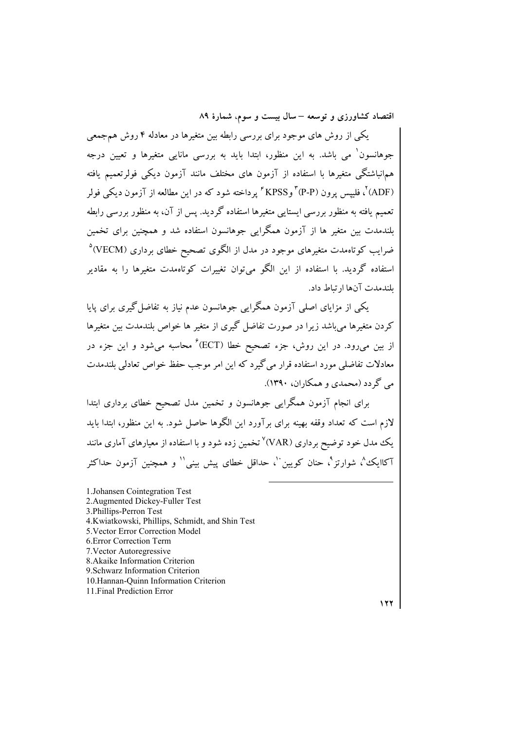یکمی از روش های موجود برای بررسی رابطه بین متغیرها در معادله ۴ روش همجمعی جوهانسون ٔ می باشد. به این منظور، ابتدا باید به بررسی مانایی متغیرها و تعیین درجه هم|نباشتگی متغیرها با استفاده از آزمون های مختلف مانند آزمون دیکی فولرتعمیم یافته (ADF)'، فلیپس پرون (P-P'' و KPSS'' پرداخته شود که در این مطالعه از آزمون دیکی فولر تعمیم یافته به منظور بررسی ایستایی متغیرها استفاده گردید. پس از آن، به منظور بررسی رابطه بلندمدت بین متغیر ها از آزمون همگرایی جوهانسون استفاده شد و همچنین برای تخمین ضرایب کوتاهمدت متغیرهای موجود در مدل از الگوی تصحیح خطای برداری (VECM)<sup>۵</sup> استفاده گردید. با استفاده از این الگو می توان تغییرات کوتاهمدت متغیرها را به مقادیر بلندمدت آنها ارتباط داد.

یکمی از مزایای اصلی آزمون همگرایی جوهانسون عدم نیاز به تفاضل گیری برای پایا کردن متغیرها می باشد زیرا در صورت تفاضل گیری از متغیر ها خواص بلندمدت بین متغیرها از بین میرود. در این روش، جزء تصحیح خطا (ECT) ٔ محاسبه می شود و این جزء در معادلات تفاضلی مورد استفاده قرار میگیرد که این امر موجب حفظ خواص تعادلی بلندمدت مي گردد (محمدي و همکاران، ۱۳۹۰).

برای انجام آزمون همگرایی جوهانسون و تخمین مدل تصحیح خطای برداری ابتدا لازم است که تعداد وقفه بهینه برای بر آورد این الگوها حاصل شود. به این منظور، ابتدا باید یک مدل خود توضیح برداری (VAR)<sup>۷</sup> تخمین زده شود و با استفاده از معیارهای آماری مانند آکاایک<sup>یم</sup>، شوارتز<sup>۹</sup>، حنان کویین<sup>۰۰</sup>، حداقل خطای پیش بینی<sup>۱۱</sup> و همچنین آزمون حداکثر

1. Johansen Cointegration Test 2. Augmented Dickey-Fuller Test 3. Phillips-Perron Test 4.Kwiatkowski, Phillips, Schmidt, and Shin Test 5. Vector Error Correction Model 6. Error Correction Term 7. Vector Autoregressive 8. Akaike Information Criterion 9. Schwarz Information Criterion 10. Hannan-Ouinn Information Criterion 11. Final Prediction Error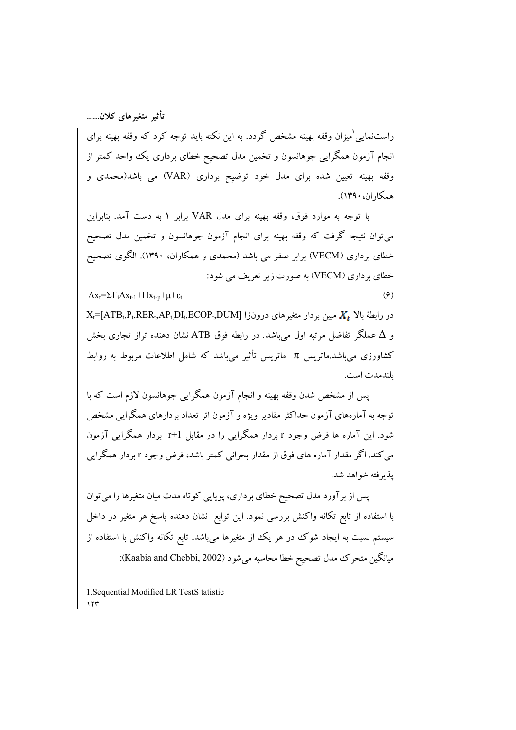$\Delta x_i = \sum \Gamma_i \Delta x_{t-1} + \prod x_{t-p} + \mu + \varepsilon_t$ 

راستنمایی ٰمیزان وقفه بهینه مشخص گردد. به این نکته باید توجه کرد که وقفه بهینه برای انجام آزمون همگرایی جوهانسون و تخمین مدل تصحیح خطای برداری یک واحد کمتر از وقفه بهینه تعیین شده برای مدل خود توضیح برداری (VAR) می باشد(محمدی و همكاران، ١٣٩٠).

با توجه به موارد فوق، وقفه بهینه برای مدل VAR برابر ۱ به دست آمد. بنابراین میتوان نتیجه گرفت که وقفه بهینه برای انجام آزمون جوهانسون و تخمین مدل تصحیح خطای برداری (VECM) برابر صفر می باشد (محمدی و همکاران، ۱۳۹۰). الگوی تصحیح خطای بر داری (VECM) به صورت زیر تعریف می شود:

 $(9)$ 

 $X_t$ =[ATB<sub>t</sub>,P<sub>t</sub>,RER<sub>t</sub>,AP<sub>t,</sub>DI<sub>t</sub>,ECOP<sub>t</sub>,DUM] در رابطهٔ بالا  $X_t$  مبین بردار متغیرهای درونزا و ∆ عملگر تفاضل مرتبه اول میباشد. در رابطه فوق ATB نشان دهنده تراز تجاری بخش کشاورزی می باشد.ماتریس π ماتریس تأثیر می باشد که شامل اطلاعات مربوط به روابط ىلندمدت است.

یس از مشخص شدن وقفه بهینه و انجام آزمون همگرایی جوهانسون لازم است که با توجه به آمارههای آزمون حداکثر مقادیر ویژه و آزمون اثر تعداد بردارهای همگرایی مشخص شود. این آماره ها فرض وجود r بردار همگرایی را در مقابل r+1 بردار همگرایی آزمون می کند. اگر مقدار آماره های فوق از مقدار بحرانی کمتر باشد، فرض وجود r بردار همگرایی يذبر فته خواهد شد.

پس از برآورد مدل تصحیح خطای برداری، پویایی کوتاه مدت میان متغیرها را می توان با استفاده از تابع تکانه واکنش بررسی نمود. این توابع نشان دهنده پاسخ هر متغیر در داخل سیستم نسبت به ایجاد شوک در هر یک از متغیرها میباشد. تابع تکانه واکنش با استفاده از میانگین متحرک مدل تصحیح خطا محاسبه میشود (Kaabia and Chebbi, 2002):

1. Sequential Modified LR TestS tatistic  $15$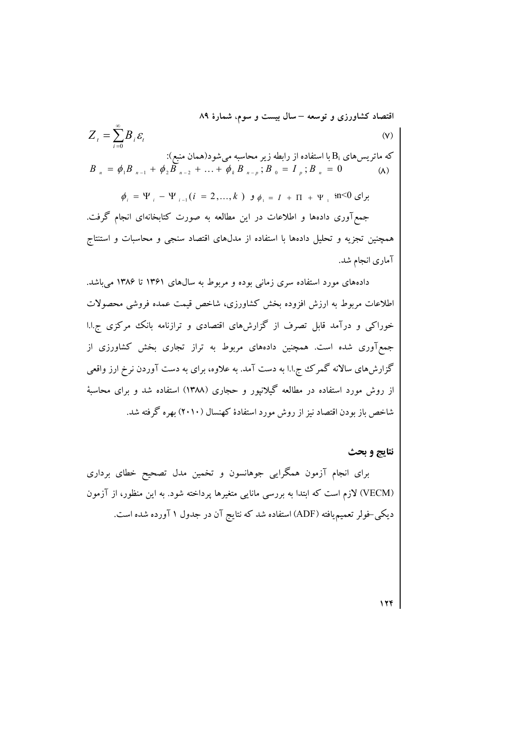اقتصاد کشاورزی و توسعه – سال بیست و سوم، شمارهٔ ۸۹  
\n
$$
Z_{t} = \sum_{i=0}^{\infty} B_{i} \mathcal{E}_{t}
$$
\n(۷)  
\n
$$
B_{n} = \phi_{1} B_{n-1} + \phi_{2} B_{n-2} + ... + \phi_{k} B_{n-p}; B_{0} = I_{p}; B_{n} = 0
$$
\n(۸)

 $\phi_i = \Psi_i - \Psi_{i-1}(i = 2,...,k)$  برای  $\phi_1 = I + \Pi + \Psi_i$ , 'n<0 برای جمع آوری دادهها و اطلاعات در این مطالعه به صورت کتابخانهای انجام گرفت. همچنین تجزیه و تحلیل دادهها با استفاده از مدلهای اقتصاد سنجی و محاسبات و استنتاج آماری انجام شد.

دادههای مورد استفاده سری زمانی بوده و مربوط به سالهای ۱۳۶۱ تا ۱۳۸۶ میباشد. اطلاعات مربوط به ارزش افزوده بخش كشاورزى، شاخص قيمت عمده فروشى محصولات خوراکی و درآمد قابل تصرف از گزارشهای اقتصادی و ترازنامه بانک مرکزی ج.ا.ا جمع آوری شده است. همچنین دادههای مربوط به تراز تجاری بخش کشاورزی از گزارشهای سالانه گمرک ج.ا.ا به دست آمد. به علاوه، برای به دست آوردن نرخ ارز واقعی از روش مورد استفاده در مطالعه گیلانپور و حجاری (۱۳۸۸) استفاده شد و برای محاسبهٔ شاخص باز بودن اقتصاد نیز از روش مورد استفادهٔ کهنسال (۲۰۱۰) بهره گرفته شد.

### نتايج و بحث

برای انجام آزمون همگرایی جوهانسون و تخمین مدل تصحیح خطای برداری (VECM) لازم است که ابتدا به بررسی مانایی متغیرها پرداخته شود. به این منظور، از آزمون دیکمی–فولر تعمیم،یافته (ADF) استفاده شد که نتایج آن در جدول ۱ آورده شده است.

 $17f$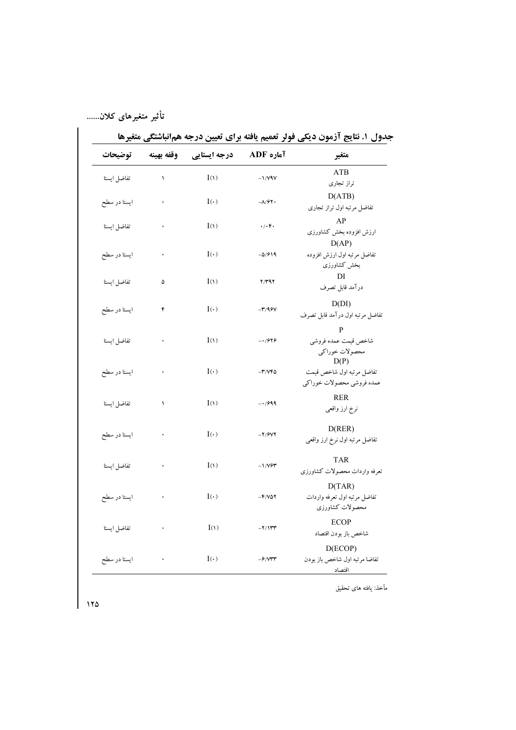| توضيحات      | وقفه بهينه | درجه ایستایی | آماره ADF                          | متغير                                |
|--------------|------------|--------------|------------------------------------|--------------------------------------|
| تفاضل ايستا  | ١          | I(1)         | $-1/VIV$                           | <b>ATB</b>                           |
|              |            |              |                                    | تراز تجارى                           |
| ايستا در سطح | $\bullet$  | $I(\cdot)$   | $-\lambda$ /۶۲.                    | D(ATB)<br>تفاضل مرتبه اول تراز تجارى |
|              |            |              |                                    |                                      |
| تفاضل ايستا  |            | I(1)         | $. / .$ .                          | AP<br>ارزش افزوده بخش كشاورزى        |
|              |            |              |                                    | D(AP)                                |
| ايستا در سطح |            | $I(\cdot)$   | $-0/919$                           | تفاضل مرتبه اول ارزش افزوده          |
|              |            |              |                                    | بخش كشاورزى                          |
|              |            |              |                                    | DI                                   |
| تفاضل ايستا  | ۵          | I(1)         | 7/٣٩٢                              | درآمد قابل تصرف                      |
|              |            | $I(\cdot)$   | $-\mathbf{r}/95\mathbf{V}$         | D(DI)                                |
| ايستا در سطح | ۴          |              |                                    | تفاضل مرتبه اول درآمد قابل تصرف      |
|              |            |              |                                    | $\mathbf{P}$                         |
| تفاضل ايستا  |            | I(1)         | $-1/949$                           | شاخص قيمت عمده فروشي                 |
|              |            |              |                                    | محصولات خوراكي                       |
|              |            |              |                                    | D(P)                                 |
| ايستا در سطح |            | $I(\cdot)$   | $-\mathbf{r}/\mathbf{v}\mathbf{r}$ | تفاضل مرتبه اول شاخص قيمت            |
|              |            |              |                                    | عمده فروشي محصولات خوراكي            |
| تفاضل ايستا  | ١          | I(1)         | $-1999$                            | <b>RER</b>                           |
|              |            |              |                                    | نرخ ارز واقعی                        |
|              |            |              |                                    | D(REF)                               |
| ايستا در سطح |            | $I(\cdot)$   | $-Y/5VY$                           | تفاضل مرتبه اول نرخ ارز واقعى        |
|              |            |              |                                    |                                      |
| تفاضل ايستا  |            | I(1)         | $-1/79$                            | <b>TAR</b>                           |
|              |            |              |                                    | تعرفه واردات محصولات كشاورزى         |
|              |            |              |                                    | D(TAR)                               |
| ايستا در سطح |            | $I(\cdot)$   | $-F/V\Delta Y$                     | تفاضل مرتبه اول تعرفه واردات         |
|              |            |              |                                    | محصولات كشاورزى                      |
|              |            |              | $-Y/1$                             | <b>ECOP</b>                          |
| تفاضل ايستا  |            | I(1)         |                                    | شاخص باز بودن اقتصاد                 |
|              |            |              |                                    | D(ECOP)                              |
| ايستا در سطح |            | $I(\cdot)$   | $-\frac{9}{Y}$                     | تفاضا مرتبه اول شاخص باز بودن        |
|              |            |              |                                    | اقتصاد                               |

جدول ١. نتايج آزمون ديكي فولر تعميم يافته براي تعيين درجه همانباشتگي متغيرها

مأخذ: يافته هاى تحقيق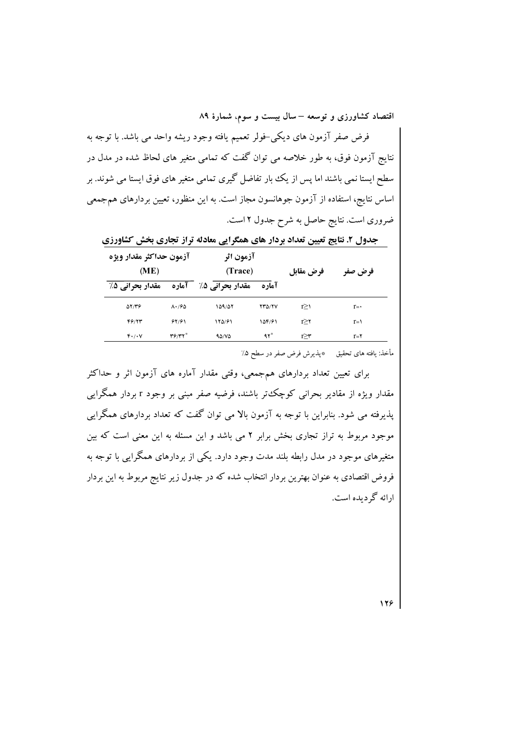فرض صفر آزمون های دیکی-فولر تعمیم یافته وجود ریشه واحد می باشد. با توجه به نتایج آزمون فوق، به طور خلاصه می توان گفت که تمامی متغیر های لحاظ شده در مدل در سطح ایستا نمی باشند اما پس از یک بار تفاضل گیری تمامی متغیر های فوق ایستا می شوند. بر اساس نتایج، استفاده از آزمون جوهانسون مجاز است. به این منظور، تعیین بردارهای هم جمعی ضروری است. نتایج حاصل به شرح جدول ۲ است.

جدول ۲. نتایج تعیین تعداد بردار های همگرایی معادله تراز تجاری بخش کشاورزی

| آزمون حداكثر مقدار ويژه<br>(ME) |                     | آزمون اثر<br>(Trace) |               | فرض مقابل | فرض صفر        |  |
|---------------------------------|---------------------|----------------------|---------------|-----------|----------------|--|
| مقدار بحرانی 5٪                 | <b>آماره</b>        | مقدار بحرانی 5٪      | آماره         |           |                |  |
| $\Delta Y/Y9$                   | $\Lambda \cdot 190$ | 159/58               | <b>TYD/TV</b> | r>۱       | $r = \cdot$    |  |
| 46/13                           | 91/91               | 180/91               | 154/91        | r > r     | $r = \sqrt{ }$ |  |
| F'/V                            | $Y^2/YY^*$          | 90/80                | $97^{\circ}$  | r≥۳       | $r = r$        |  |

مأخذ: يافته هاى تحقيق \*بذيرش فرض صفر در سطح ۵٪

برای تعیین تعداد بردارهای همجمعی، وقتی مقدار آماره های آزمون اثر و حداکثر مقدار ویژه از مقادیر بحرانی کوچک تر باشند، فرضیه صفر مبنی بر وجود r بردار همگرایی پذیرفته می شود. بنابراین با توجه به آزمون بالا می توان گفت که تعداد بردارهای همگرایی موجود مربوط به تراز تجاری بخش برابر ۲ می باشد و این مسئله به این معنی است که بین متغیرهای موجود در مدل رابطه بلند مدت وجود دارد. یکی از بردارهای همگرایی با توجه به فروض اقتصادی به عنوان بهترین بردار انتخاب شده که در جدول زیر نتایج مربوط به این بردار ارائه گر دیده است.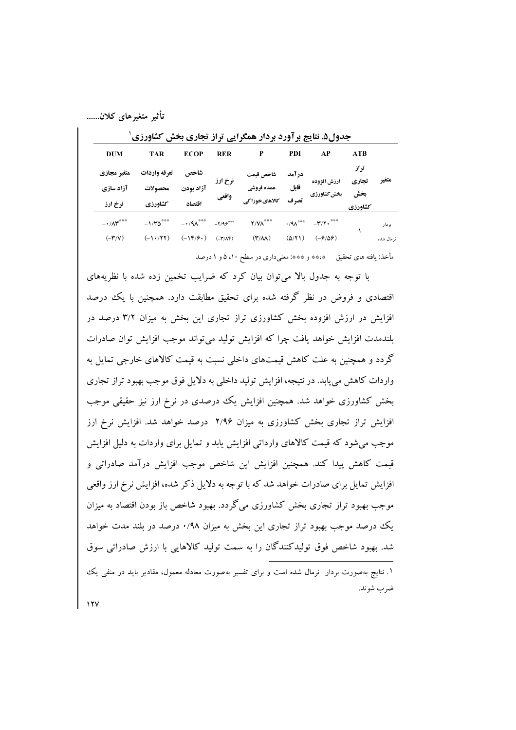| <b>DUM</b>                                                | <b>TAR</b>                         | <b>ECOP</b>                    | <b>RER</b>                                               | P                                                           | PDI                    | AP                                                                                         | <b>ATB</b>                      |                     |
|-----------------------------------------------------------|------------------------------------|--------------------------------|----------------------------------------------------------|-------------------------------------------------------------|------------------------|--------------------------------------------------------------------------------------------|---------------------------------|---------------------|
| متغير مجازي<br>آزاد سازي<br>نرخ ارز                       | تعرفه واردات<br>محصولات<br>كشاورزي | شاخص<br>آزاد بودن<br>اقتصاد    | نرخ ارز<br>واقعي                                         | شاخص قيمت<br>عمده فروشي<br>كالاهاىخوراكى                    | در آمد<br>قابل<br>تصرف | ارزش افزوده<br>بخش كشاورزي                                                                 | تراز<br>تجاري<br>بخش<br>كشاورزي | متغير               |
| $ \cdot$ / $\wedge$ $\star$<br>$(-\mathbf{r}/\mathbf{v})$ | $-1/70$ ***<br>$(-1.777)$          | $-1/9\Lambda$ ***<br>$(-15/9)$ | $-Y/9e^{\cos x}$<br>$(-\mathbf{r}/\mathbf{A}\mathbf{F})$ | $\gamma/\gamma\Lambda^{***}$<br>$(\Upsilon/\Lambda\Lambda)$ | $(\Delta/Y)$           | $\cdot$ /9 $\Lambda$ <sup>***</sup> $-\Upsilon/\Upsilon \cdot$ <sup>***</sup><br>$(-9/09)$ |                                 | بردار<br>نر مال شده |

حده) ۵. نتایج بر آورد بر دار همگرایی تراز تجاری بخش کشاورزی <sup>۱</sup>

مأخذ: يافته هاى تحقيق ﴿\*\*\* و \*\*\*: معنىدارى در سطح ٥٠١ و ١ درصد

با توجه به جدول بالا می توان بیان کرد که ضرایب تخمین زده شده با نظریههای اقتصادی و فروض در نظر گرفته شده برای تحقیق مطابقت دارد. همچنین با یک درصد افزایش در ارزش افزوده بخش کشاورزی تراز تجاری این بخش به میزان ۳/۲ درصد در بلندمدت افزايش خواهد يافت چرا كه افزايش توليد مى تواند موجب افزايش توان صادرات گردد و همچنین به علت کاهش قیمتهای داخلی نسبت به قیمت کالاهای خارجی تمایل به واردات کاهش می یابد. در نتیجه، افزایش تولید داخلی به دلایل فوق موجب بهبود تراز تجاری بخش کشاورزی خواهد شد. همچنین افزایش یک درصدی در نرخ ارز نیز حقیقی موجب افزایش تراز تجاری بخش کشاورزی به میزان ۲/۹۶ درصد خواهد شد. افزایش نرخ ارز موجب می شود که قیمت کالاهای وارداتی افزایش یابد و تمایل برای واردات به دلیل افزایش قیمت کاهش پیدا کند. همچنین افزایش این شاخص موجب افزایش درآمد صادراتی و افزایش تمایل برای صادرات خواهد شد که با توجه به دلایل ذکر شده، افزایش نرخ ارز واقعی موجب بهبود تراز تجاری بخش کشاورزی می گردد. بهبود شاخص باز بودن اقتصاد به میزان یک درصد موجب بهبود تراز تجاری این بخش به میزان ۰/۹۸ درصد در بلند مدت خواهد شد. بهبود شاخص فوق تولیدکنندگان را به سمت تولید کالاهایی با ارزش صادراتی سوق

۱. نتایج بهصورت بردار ً نرمال شده است و برای تفسیر بهصورت معادله معمول، مقادیر باید در منفی یک ضرب شوند.

 $11V$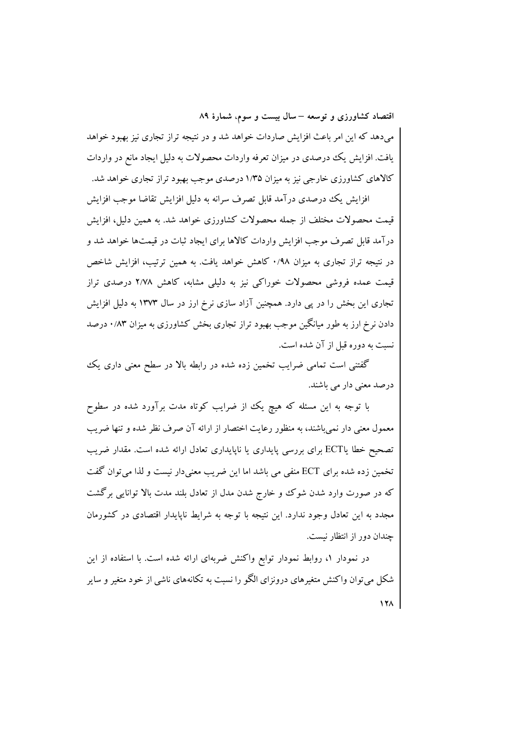میدهد که این امر باعث افزایش صاردات خواهد شد و در نتیجه تراز تجاری نیز بهبود خواهد یافت. افزایش یک درصدی در میزان تعرفه واردات محصولات به دلیل ایجاد مانع در واردات کالاهای کشاورزی خارجی نیز به میزان ۱/۳۵ درصدی موجب بهبود تراز تجاری خواهد شد.

افزایش یک درصدی درآمد قابل تصرف سرانه به دلیل افزایش تقاضا موجب افزایش قیمت محصولات مختلف از جمله محصولات کشاورزی خواهد شد. به همین دلیل، افزایش درآمد قابل تصرف موجب افزایش واردات کالاها برای ایجاد ثبات در قیمتها خواهد شد و در نتیجه تراز تجاری به میزان ۰/۹۸ کاهش خواهد یافت. به همین ترتیب، افزایش شاخص قیمت عمده فروشی محصولات خوراکی نیز به دلیلی مشابه، کاهش ۲/۷۸ درصدی تراز تجاری این بخش را در پی دارد. همچنین آزاد سازی نرخ ارز در سال ۱۳۷۳ به دلیل افزایش دادن نرخ ارز به طور میانگین موجب بهبود تراز تجاری بخش کشاورزی به میزان ۰/۸۳ درصد نسبت به دوره قبل از آن شده است.

گفتنی است تمامی ضرایب تخمین زده شده در رابطه بالا در سطح معنی داری یک درصد معنی دار می باشند.

با توجه به این مسئله که هیچ یک از ضرایب کوتاه مدت برآورد شده در سطوح معمول معنی دار نمیباشند، به منظور رعایت اختصار از ارائه آن صرف نظر شده و تنها ضریب تصحیح خطا یاECT برای بررسی پایداری یا ناپایداری تعادل ارائه شده است. مقدار ضریب تخمین زده شده برای ECT منفی می باشد اما این ضریب معنیدار نیست و لذا می توان گفت که در صورت وارد شدن شوک و خارج شدن مدل از تعادل بلند مدت بالا توانایی برگشت مجدد به این تعادل وجود ندارد. این نتیجه با توجه به شرایط ناپایدار اقتصادی در کشورمان جندان دور از انتظار نیست.

در نمودار ۱، روابط نمودار توابع واكنش ضربهاى ارائه شده است. با استفاده از اين شکل می توان واکنش متغیرهای درونزای الگو را نسبت به تکانههای ناشی از خود متغیر و سایر  $\sqrt{1 + \lambda}$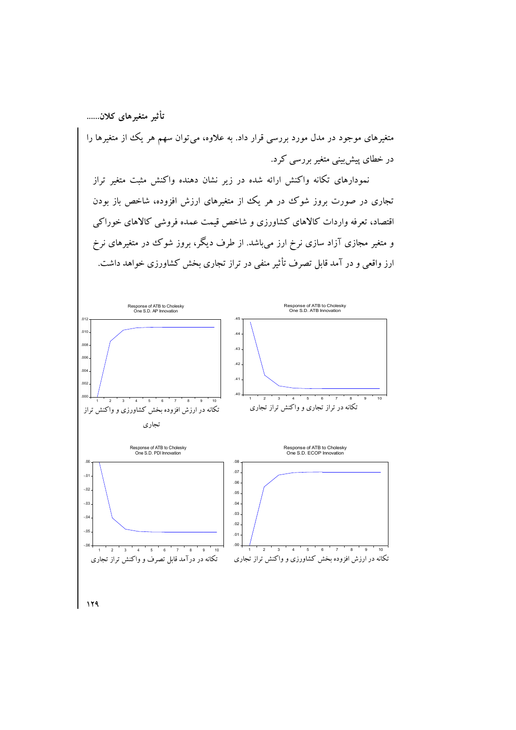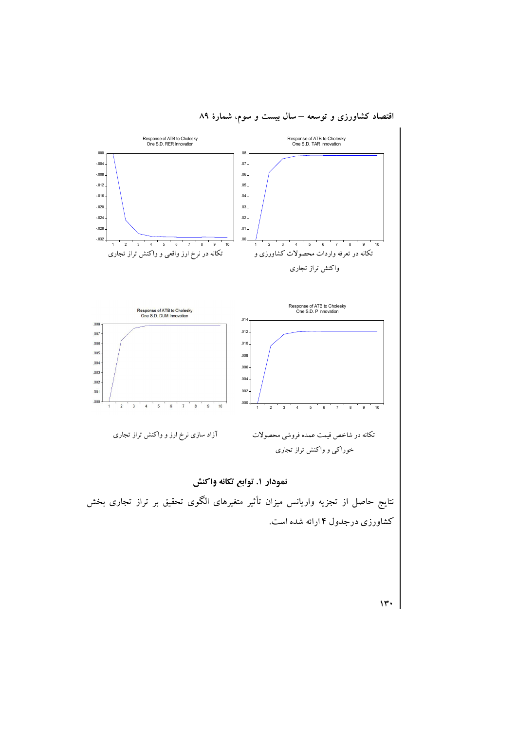

اقتصاد کشاورزی و توسعه – سال بیست و سوم، شمارهٔ ۸۹

 $\mathcal{W}$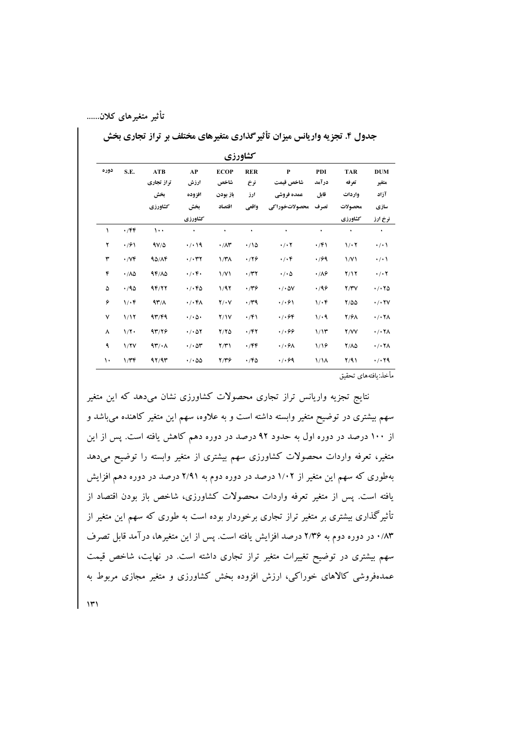**جدول ۴. تجزیه واریانس میزان تأثیرگذاری متغیرهای مختلف بر تراز تجاری بخش** 

|      | كشاورزي                       |                      |                                       |                     |                   |                              |                       |                     |                                       |  |
|------|-------------------------------|----------------------|---------------------------------------|---------------------|-------------------|------------------------------|-----------------------|---------------------|---------------------------------------|--|
| دوره | S.E.                          | ATB<br>تراز تجارى    | AP<br>ارزش                            | <b>ECOP</b><br>شاخص | <b>RER</b><br>نرخ | $\mathbf{P}$<br>شاخص قيمت    | PDI<br>درآمد          | <b>TAR</b><br>تعرفه | <b>DUM</b><br>متغير                   |  |
|      |                               | بخش                  | افزوده                                | باز بودن            | ارز               | عمده فروشى                   | قابل                  | واردات              | آزاد                                  |  |
|      |                               | كشاورزي              | بخش                                   | اقتصاد              | واقعي             | محصولاتخوراكى                | تصرف                  | محصولات             | سازي                                  |  |
|      |                               |                      | كشاورزي                               |                     |                   |                              |                       | كشاورزي             | نرخ ارز                               |  |
| ١    | $\cdot$ /۴۴                   | ۱۰۰                  | ٠                                     | ٠                   | ٠                 | $\bullet$                    | ۰                     | ٠                   | $\bullet$                             |  |
| ۲    | $\cdot$ /61                   | $9V/\Delta$          | $\cdot$ / $\cdot$ 19                  | $\cdot / \Lambda$ ۳ | $\cdot$ 10        | $\cdot$ / $\cdot$ $\cdot$    | $\cdot$ /۴۱           | 1/17                | $\cdot$ / $\cdot$                     |  |
| ٣    | $\cdot$ / $\vee \mathfrak{F}$ | 90/AF                | $\cdot$ / $\cdot$ ۳۲                  | 1/T <sub>A</sub>    | .779              | $\cdot/\cdot$ ۴              | 7۶۹.                  | $\frac{1}{V}$       | $\cdot$ / $\cdot$                     |  |
| ۴    | $\cdot / \Lambda \Delta$      | $4F/\Lambda\Delta$   | $\cdot/\cdot$ ۴۰                      | $\frac{1}{V}$       | $\cdot$ /۳۲       | $\cdot$ / $\cdot$ $\Delta$   | $\cdot$ / $\lambda$ ۶ | Y/Y                 | $\cdot$ / $\cdot$ $\cdot$             |  |
| ۵    | .40                           | 9F/YY                | $\cdot$ / $\cdot$ FD                  | 1/97                | ۰٬۳۶              | $\cdot$ / $\cdot$ $\Delta V$ | .49                   | Y/YV                | $\cdot$ / $\cdot$ $\tau$ $\Delta$     |  |
| ۶    | $1/\cdot 5$                   | $44^{\circ}/\Lambda$ | $\cdot/\cdot f$                       | $Y/\cdot V$         | $\cdot$ /۳۹       | $\cdot$ / $\cdot$ 61         | $1/\cdot 5$           | $Y/\Delta\Delta$    | $\cdot$ / $\cdot$ $\uparrow$ $\vee$   |  |
| ٧    | 1/17                          | 47/F4                | $\cdot/\cdot \Delta \cdot$            | Y/Y                 | $\cdot$ /۴۱       | $\cdot/\cdot$ ۶۴             | 1/4                   | <b>Y/91</b>         | $\cdot$ / $\cdot$ $\uparrow$ $\wedge$ |  |
| ٨    | $1/\Upsilon$                  | 9314                 | $\cdot$ / $\cdot$ $\Delta$ $\Upsilon$ | $Y/Y$ $\Delta$      | $\cdot$ /۴۲       | $\cdot$ 1.99                 | 1/15                  | Y/VV                | $\cdot$ / $\cdot$ $\uparrow$ $\wedge$ |  |
| ٩    | 1/7V                          | $4r/\cdot \Lambda$   | $\cdot$ / $\cdot$ $\circ$ $\cdot$     | Y/Y                 | $\cdot$ /۴۴       | $\cdot$ / $\cdot$ $\theta$   | 1/19                  | 7/10                | $\cdot$ / $\cdot$ $\uparrow$ $\wedge$ |  |
| ١٠   | 1/TF                          | 97/97                | $\cdot$ / $\cdot$ ۵۵                  | 2/16                | $\cdot$ /۴۵       | $\cdot$ / $\cdot$ 69         | $1/\lambda$           | Y/91                | .7.79                                 |  |

مأخذ:يافتههاى تحقيق

 $\mathcal{W}$ نتایج تجزیه واریانس تراز تجاری محصولات کشاورزی نشان می دهد که این متغیر سهم بیشتری در توضیح متغیر وابسته داشته است و به علاوه، سهم این متغیر کاهنده میباشد و از ۱۰۰ درصد در دوره اول به حدود ۹۲ درصد در دوره دهم کاهش یافته است. پس از این متغیر، تعرفه واردات محصولات کشاورزی سهم بیشتری از متغیر وابسته را توضیح میدهد بهطوری که سهم این متغیر از ۱/۰۲ درصد در دوره دوم به ۲/۹۱ درصد در دوره دهم افزایش یافته است. پس از متغیر تعرفه واردات محصولات کشاورزی، شاخص باز بودن اقتصاد از تأثیرگذاری بیشتری بر متغیر تراز تجاری برخوردار بوده است به طوری که سهم این متغیر از ۸۳٪ در دوره دوم به ۲/۳۶ درصد افزایش یافته است. پس از این متغیرها، درآمد قابل تصرف سهم بیشتری در توضیح تغییرات متغیر تراز تجاری داشته است. در نهایت، شاخص قیمت عمدهفروشی کالاهای خوراکی، ارزش افزوده بخش کشاورزی و متغیر مجازی مربوط به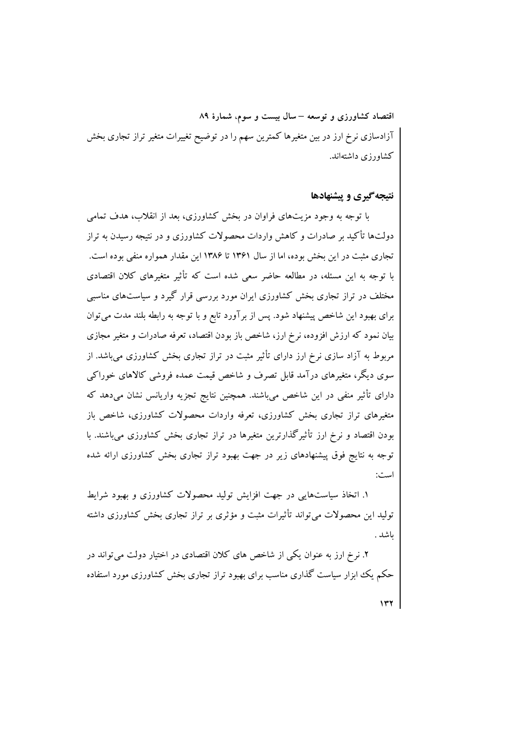اقتصاد کشاورزی و توسعه – سال بیست و سوم، شمارهٔ ۸۹ آزادسازی نرخ ارز در بین متغیرها کمترین سهم را در توضیح تغییرات متغیر تراز تجاری بخش کشاورزی داشتهاند.

### نتیجه گیری و پیشنهادها

با توجه به وجود مزیتهای فراوان در یخش کشاورزی، بعد از انقلاب، هدف تمامی دولتها تأکید بر صادرات و کاهش واردات محصولات کشاورزی و در نتیجه رسیدن به تراز تجاری مثبت در این بخش بوده، اما از سال ۱۳۶۱ تا ۱۳۸۶ این مقدار همواره منفی بوده است. با توجه به این مسئله، در مطالعه حاضر سعی شده است که تأثیر متغیرهای کلان اقتصادی مختلف در تراز تجاری بخش کشاورزی ایران مورد بررسی قرار گیرد و سیاستهای مناسبی برای بهبود این شاخص پیشنهاد شود. پس از برآورد تابع و با توجه به رابطه بلند مدت میتوان بیان نمود که ارزش افزوده، نرخ ارز، شاخص باز بودن اقتصاد، تعرفه صادرات و متغیر مجازی مربوط به آزاد سازی نرخ ارز دارای تأثیر مثبت در تراز تجاری بخش کشاورزی میباشد. از سوی دیگر، متغیرهای درآمد قابل تصرف و شاخص قیمت عمده فروشی کالاهای خوراکی دارای تأثیر منفی در این شاخص میباشند. همچنین نتایج تجزیه واریانس نشان میدهد که متغیرهای تراز تجاری بخش کشاورزی، تعرفه واردات محصولات کشاورزی، شاخص باز بودن اقتصاد و نرخ ارز تأثیرگذارترین متغیرها در تراز تجاری بخش کشاورزی میباشند. با توجه به نتایج فوق پیشنهادهای زیر در جهت بهبود تراز تجاری بخش کشاورزی ارائه شده است:

۱. اتخاذ سیاستهایی در جهت افزایش تولید محصولات کشاورزی و بهبود شرایط تولید این محصولات می تواند تأثیرات مثبت و مؤثری بر تراز تجاری بخش کشاورزی داشته ىاشد .

۲. نرخ ارز به عنوان یکی از شاخص های کلان اقتصادی در اختیار دولت می تواند در حکم یک ابزار سیاست گذاری مناسب برای بهبود تراز تجاری بخش کشاورزی مورد استفاده

 $\gamma$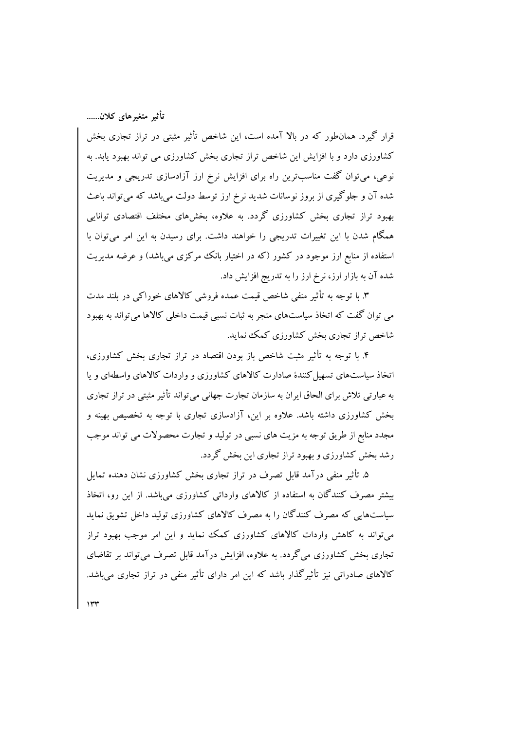قرار گیرد. همانطور که در بالا آمده است، این شاخص تأثیر مثبتی در تراز تجاری بخش کشاورزی دارد و با افزایش این شاخص تراز تجاری بخش کشاورزی می تواند بهبود پابد. به نوعی، می توان گفت مناسبترین راه برای افزایش نرخ ارز آزادسازی تدریجی و مدیریت شده آن و جلوگیری از بروز نوسانات شدید نرخ ارز توسط دولت میباشد که میتواند باعث بهبود تراز تجاری بخش کشاورزی گردد. به علاوه، بخشهای مختلف اقتصادی توانایی همگام شدن با این تغییرات تدریجی را خواهند داشت. برای رسیدن به این امر میتوان با استفاده از منابع ارز موجود در کشور (که در اختیار بانک مرکزی میباشد) و عرضه مدیریت شده آن به بازار ارز، نرخ ارز را به تدریج افزایش داد.

۳. با توجه به تأثیر منفی شاخص قیمت عمده فروشی کالاهای خوراکی در بلند مدت می توان گفت که اتخاذ سیاستهای منجر به ثبات نسبی قیمت داخلی کالاها می تواند به بهبود شاخص تراز تجاری بخش کشاورزی کمک نماید.

۴. با توجه به تأثیر مثبت شاخص باز بودن اقتصاد در تراز تجاری بخش کشاورزی، اتخاذ سیاستهای تسهیل کنندهٔ صادارت کالاهای کشاورزی و واردات کالاهای واسطهای و یا به عبارتی تلاش برای الحاق ابران به سازمان تجارت جهانی می تواند تأثیر مثبتی در تراز تجاری بخش کشاورزی داشته باشد. علاوه بر این، آزادسازی تجاری با توجه به تخصیص بهینه و مجدد منابع از طریق توجه به مزیت های نسبی در تولید و تجارت محصولات می تواند موجب رشد بخش کشاورزی و بهبود تراز تجاری این بخش گردد.

۵. تأثیر منفی درآمد قابل تصرف در تراز تجاری بخش کشاورزی نشان دهنده تمایل بیشتر مصرف کنندگان به استفاده از کالاهای وارداتی کشاورزی میباشد. از این رو، اتخاذ سیاستهایی که مصرف کنندگان را به مصرف کالاهای کشاورزی تولید داخل تشویق نماید م تواند به کاهش واردات کالاهای کشاورزی کمک نماید و این امر موجب بهبود تراز تجاری بخش کشاورزی می گردد. به علاوه، افزایش درآمد قابل تصرف می تواند بر تقاضای کالاهای صادراتی نیز تأثیرگذار باشد که این امر دارای تأثیر منفی در تراز تجاری می باشد.

 $\gamma$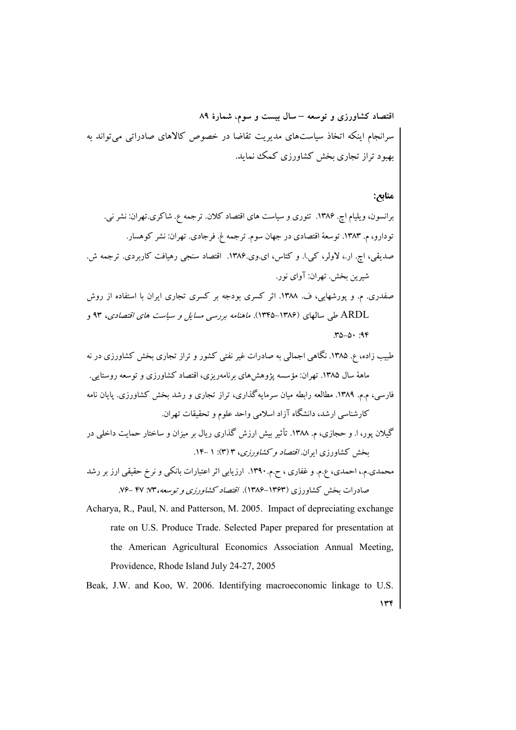اقتصاد کشاورزی و توسعه – سال بیست و سوم، شمارهٔ ۸۹ سرانجام اینکه اتخاذ سیاستهای مدیریت تقاضا در خصوص کالاهای صادراتی می تواند به بهبود تراز تجاری بخش کشاورزی کمک نماید.

# منابع:

برانسون، ویلیام اچ. ۱۳۸۶. تئوری و سیاست های اقتصاد کلان. ترجمه ع. شاکری.تهران: نشر نی. تودارو، م. ۱۳۸۳. توسعهٔ اقتصادی در جهان سوم. ترجمه غ. فرجادی. تهران: نشر کوهسار. صدیقی، اچ. ار.، لاولر، کی.ا. و کتاس، ای.وی.۱۳۸۶. اقتصاد سنجی رهیافت کاربردی. ترجمه ش. شبرين پخش. تهران: آواي نور.

صفدری. م. و پورشهابی، ف. ۱۳۸۸. اثر کسری بودجه بر کسری تجاری ایران با استفاده از روش ARDL طی سالهای (۱۳۸۶–۱۳۴۵). *ماهنامه بررسی مسایل و سیاست های اقتصادی*، ۹۳ و  $T\Delta - \Delta \cdot 39$ 

طبیب زاده، ع. ۱۳۸۵. نگاهی اجمالی به صادرات غیر نفتی کشور و تراز تجاری بخش کشاورزی در نه ماههٔ سال ۱۳۸۵. تهران: مؤسسه یژوهش های برنامهریزی، اقتصاد کشاورزی و توسعه روستایی. فارسی، م.م. ۱۳۸۹. مطالعه رابطه مبان سرمایه گذاری، تراز تجاری و رشد بخش کشاورزی. پایان نامه کارشناسی ارشد، دانشگاه آزاد اسلامی واحد علوم و تحقیقات تهران.

گیلان یور، ا. و حجازی، م. ۱۳۸۸. تأثیر بیش ارزش گذاری ریال بر میزان و ساختار حمایت داخلی در بخش کشاورزی ایران*. اقتصاد و کشاورزی*، ۳ (۳): ۱ -۱۴.

محمدی.م.، احمدی، ع.م. و غفاری ، ح.م.۱۳۹۰. ارزیابی اثر اعتبارات بانکی و نرخ حقیقی ارز بر رشد صادرات بخش کشاورزی (۱۳۶۳–۱۳۸۶). *اقتصاد کشاورزی و توسعه، ۷*۳: ۴۷–۷۶.

Acharya, R., Paul, N. and Patterson, M. 2005. Impact of depreciating exchange rate on U.S. Produce Trade. Selected Paper prepared for presentation at the American Agricultural Economics Association Annual Meeting, Providence, Rhode Island July 24-27, 2005

Beak, J.W. and Koo, W. 2006. Identifying macroeconomic linkage to U.S.  $\mathbf{r}$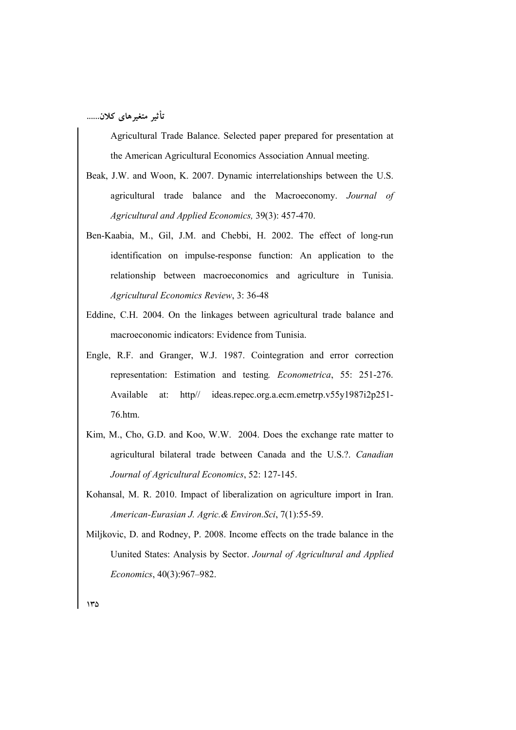Agricultural Trade Balance. Selected paper prepared for presentation at the American Agricultural Economics Association Annual meeting.

- Beak, J.W. and Woon, K. 2007. Dynamic interrelationships between the U.S. agricultural trade balance and the Macroeconomy. Journal of Agricultural and Applied Economics, 39(3): 457-470.
- Ben-Kaabia, M., Gil, J.M. and Chebbi, H. 2002. The effect of long-run identification on impulse-response function: An application to the relationship between macroeconomics and agriculture in Tunisia. Agricultural Economics Review, 3: 36-48
- Eddine, C.H. 2004. On the linkages between agricultural trade balance and macroeconomic indicators: Evidence from Tunisia.
- Engle, R.F. and Granger, W.J. 1987. Cointegration and error correction representation: Estimation and testing. *Econometrica*, 55: 251-276. Available  $http://$ ideas.repec.org.a.ecm.emetrp.v55y1987i2p251 $at<sup>1</sup>$ 76.htm.
- Kim, M., Cho, G.D. and Koo, W.W. 2004. Does the exchange rate matter to agricultural bilateral trade between Canada and the U.S.?. Canadian Journal of Agricultural Economics, 52: 127-145.
- Kohansal, M. R. 2010. Impact of liberalization on agriculture import in Iran. American-Eurasian J. Agric. & Environ. Sci, 7(1):55-59.
- Miljkovic, D. and Rodney, P. 2008. Income effects on the trade balance in the Uunited States: Analysis by Sector. Journal of Agricultural and Applied Economics, 40(3):967-982.

 $140$